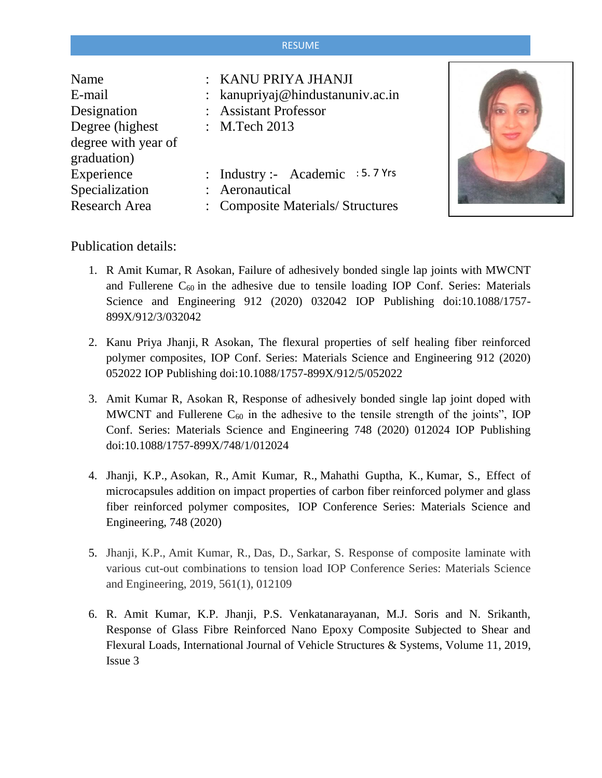## RESUME

| Name                 | : KANU PRIYA JHANJI              |
|----------------------|----------------------------------|
| E-mail               | : kanupriyaj@hindustanuniv.ac.in |
| Designation          | : Assistant Professor            |
| Degree (highest)     | : M.Tech 2013                    |
| degree with year of  |                                  |
| graduation)          |                                  |
| Experience           | : Industry :- Academic : 5.7 Yrs |
| Specialization       | : Aeronautical                   |
| <b>Research Area</b> | : Composite Materials/Structures |



Publication details:

- 1. R Amit Kumar, R Asokan, Failure of adhesively bonded single lap joints with MWCNT and Fullerene  $C_{60}$  in the adhesive due to tensile loading IOP Conf. Series: Materials Science and Engineering 912 (2020) 032042 IOP Publishing doi:10.1088/1757- 899X/912/3/032042
- 2. Kanu Priya Jhanji, R Asokan, The flexural properties of self healing fiber reinforced polymer composites, IOP Conf. Series: Materials Science and Engineering 912 (2020) 052022 IOP Publishing doi:10.1088/1757-899X/912/5/052022
- 3. Amit Kumar R, Asokan R, Response of adhesively bonded single lap joint doped with MWCNT and Fullerene  $C_{60}$  in the adhesive to the tensile strength of the joints", IOP Conf. Series: Materials Science and Engineering 748 (2020) 012024 IOP Publishing doi:10.1088/1757-899X/748/1/012024
- 4. Jhanji, K.P., Asokan, R., Amit Kumar, R., Mahathi Guptha, K., Kumar, S., Effect of microcapsules addition on impact properties of carbon fiber reinforced polymer and glass fiber reinforced polymer composites, IOP Conference Series: Materials Science and Engineering, 748 (2020)
- 5. [Jhanji, K.P.,](https://www.scopus.com/authid/detail.uri?authorId=57201067081) [Amit Kumar, R.,](https://www.scopus.com/authid/detail.uri?authorId=57201767798) [Das, D.,](https://www.scopus.com/authid/detail.uri?authorId=57210882657) [Sarkar, S.](https://www.scopus.com/authid/detail.uri?authorId=57211945428) Response of composite laminate with various cut-out combinations to tension load IOP Conference Series: Materials Science and Engineering, 2019, 561(1), 012109
- 6. R. Amit Kumar, K.P. Jhanji, P.S. Venkatanarayanan, M.J. Soris and N. Srikanth, Response of Glass Fibre Reinforced Nano Epoxy Composite Subjected to Shear and Flexural Loads, International Journal of Vehicle Structures & Systems, Volume 11, 2019, Issue 3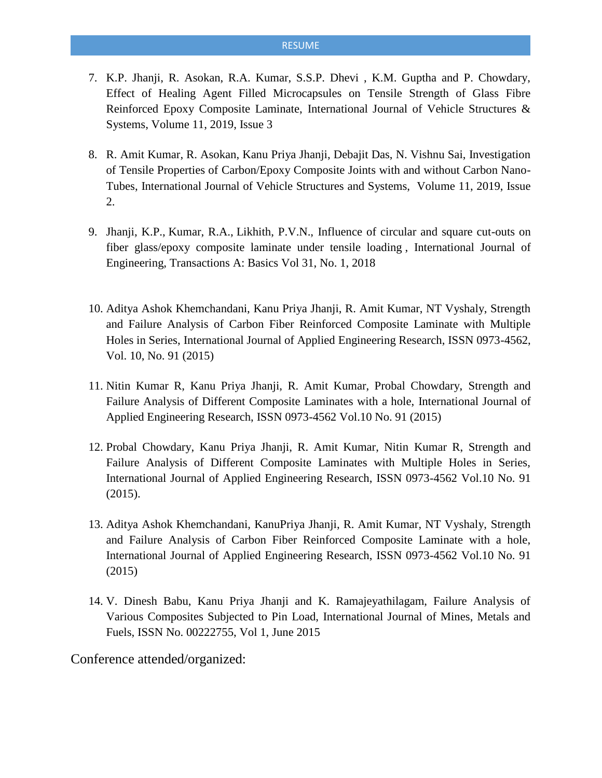## RESUME

- 7. K.P. Jhanji, R. Asokan, R.A. Kumar, S.S.P. Dhevi , K.M. Guptha and P. Chowdary, Effect of Healing Agent Filled Microcapsules on Tensile Strength of Glass Fibre Reinforced Epoxy Composite Laminate, International Journal of Vehicle Structures & Systems, Volume 11, 2019, Issue 3
- 8. R. Amit Kumar, R. Asokan, Kanu Priya Jhanji, Debajit Das, N. Vishnu Sai, Investigation of Tensile Properties of Carbon/Epoxy Composite Joints with and without Carbon Nano-Tubes, International Journal of Vehicle Structures and Systems, Volume 11, 2019, Issue 2.
- 9. Jhanji, K.P., Kumar, R.A., Likhith, P.V.N., Influence of circular and square cut-outs on fiber glass/epoxy composite laminate under tensile loading , International Journal of Engineering, Transactions A: Basics Vol 31, No. 1, 2018
- 10. Aditya Ashok Khemchandani, Kanu Priya Jhanji, R. Amit Kumar, NT Vyshaly, Strength and Failure Analysis of Carbon Fiber Reinforced Composite Laminate with Multiple Holes in Series, International Journal of Applied Engineering Research, ISSN 0973-4562, Vol. 10, No. 91 (2015)
- 11. Nitin Kumar R, Kanu Priya Jhanji, R. Amit Kumar, Probal Chowdary, Strength and Failure Analysis of Different Composite Laminates with a hole, International Journal of Applied Engineering Research, ISSN 0973-4562 Vol.10 No. 91 (2015)
- 12. Probal Chowdary, Kanu Priya Jhanji, R. Amit Kumar, Nitin Kumar R, Strength and Failure Analysis of Different Composite Laminates with Multiple Holes in Series, International Journal of Applied Engineering Research, ISSN 0973-4562 Vol.10 No. 91 (2015).
- 13. Aditya Ashok Khemchandani, KanuPriya Jhanji, R. Amit Kumar, NT Vyshaly, Strength and Failure Analysis of Carbon Fiber Reinforced Composite Laminate with a hole, International Journal of Applied Engineering Research, ISSN 0973-4562 Vol.10 No. 91 (2015)
- 14. V. Dinesh Babu, Kanu Priya Jhanji and K. Ramajeyathilagam, Failure Analysis of Various Composites Subjected to Pin Load, International Journal of Mines, Metals and Fuels, ISSN No. 00222755, Vol 1, June 2015

Conference attended/organized: